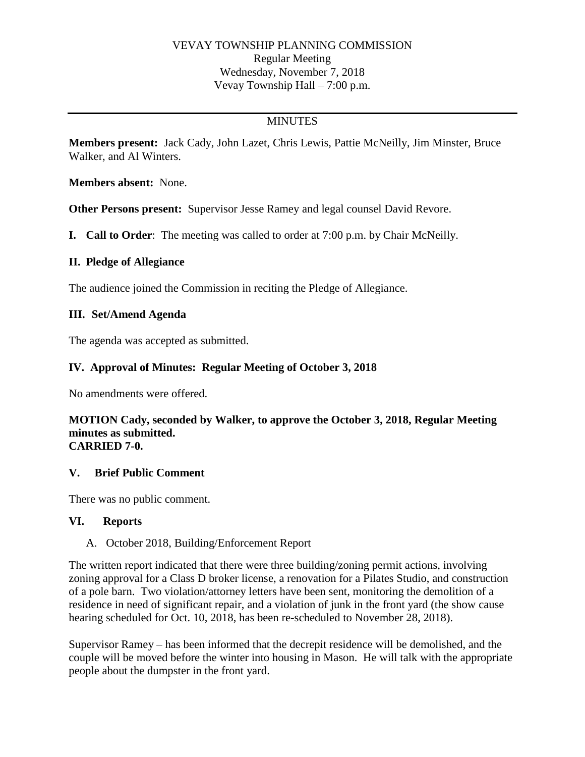## VEVAY TOWNSHIP PLANNING COMMISSION Regular Meeting Wednesday, November 7, 2018 Vevay Township Hall – 7:00 p.m.

# MINUTES

**Members present:** Jack Cady, John Lazet, Chris Lewis, Pattie McNeilly, Jim Minster, Bruce Walker, and Al Winters.

**Members absent:** None.

**Other Persons present:** Supervisor Jesse Ramey and legal counsel David Revore.

**I. Call to Order**: The meeting was called to order at 7:00 p.m. by Chair McNeilly.

### **II. Pledge of Allegiance**

The audience joined the Commission in reciting the Pledge of Allegiance.

## **III. Set/Amend Agenda**

The agenda was accepted as submitted.

## **IV. Approval of Minutes: Regular Meeting of October 3, 2018**

No amendments were offered.

#### **MOTION Cady, seconded by Walker, to approve the October 3, 2018, Regular Meeting minutes as submitted. CARRIED 7-0.**

### **V. Brief Public Comment**

There was no public comment.

### **VI. Reports**

A. October 2018, Building/Enforcement Report

The written report indicated that there were three building/zoning permit actions, involving zoning approval for a Class D broker license, a renovation for a Pilates Studio, and construction of a pole barn. Two violation/attorney letters have been sent, monitoring the demolition of a residence in need of significant repair, and a violation of junk in the front yard (the show cause hearing scheduled for Oct. 10, 2018, has been re-scheduled to November 28, 2018).

Supervisor Ramey – has been informed that the decrepit residence will be demolished, and the couple will be moved before the winter into housing in Mason. He will talk with the appropriate people about the dumpster in the front yard.